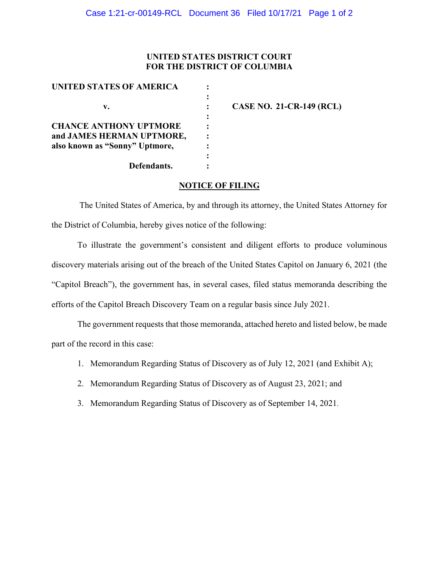### **UNITED STATES DISTRICT COURT FOR THE DISTRICT OF COLUMBIA**

| UNITED STATES OF AMERICA       |                 |
|--------------------------------|-----------------|
| v.                             | <b>CASE NO.</b> |
| <b>CHANCE ANTHONY UPTMORE</b>  |                 |
| and JAMES HERMAN UPTMORE,      |                 |
| also known as "Sonny" Uptmore, |                 |
|                                |                 |
| Defendants.                    |                 |

**v. : CASE NO. 21-CR-149 (RCL)**

### **NOTICE OF FILING**

The United States of America, by and through its attorney, the United States Attorney for the District of Columbia, hereby gives notice of the following:

To illustrate the government's consistent and diligent efforts to produce voluminous discovery materials arising out of the breach of the United States Capitol on January 6, 2021 (the "Capitol Breach"), the government has, in several cases, filed status memoranda describing the efforts of the Capitol Breach Discovery Team on a regular basis since July 2021.

The government requests that those memoranda, attached hereto and listed below, be made part of the record in this case:

- 1. Memorandum Regarding Status of Discovery as of July 12, 2021 (and Exhibit A);
- 2. Memorandum Regarding Status of Discovery as of August 23, 2021; and
- 3. Memorandum Regarding Status of Discovery as of September 14, 2021.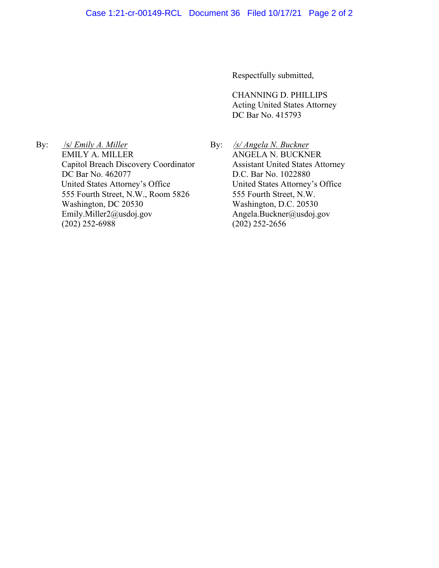Respectfully submitted,

CHANNING D. PHILLIPS Acting United States Attorney DC Bar No. 415793

By: /s/ *Emily A. Miller* EMILY A. MILLER Capitol Breach Discovery Coordinator DC Bar No. 462077 United States Attorney's Office 555 Fourth Street, N.W., Room 5826 Washington, DC 20530 Emily.Miller2@usdoj.gov (202) 252-6988

By: */s/ Angela N. Buckner*  ANGELA N. BUCKNER Assistant United States Attorney D.C. Bar No. 1022880 United States Attorney's Office 555 Fourth Street, N.W. Washington, D.C. 20530 Angela.Buckner@usdoj.gov (202) 252-2656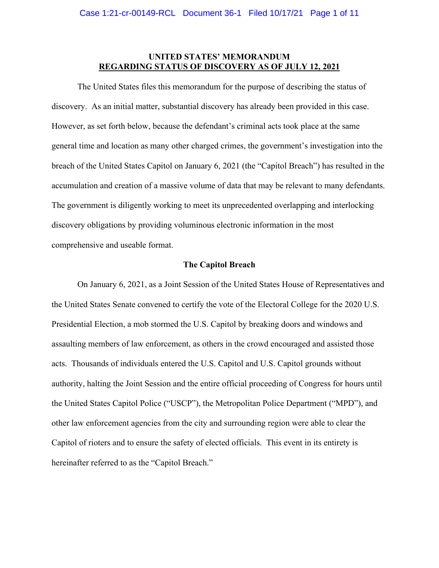### **UNITED STATES' MEMORANDUM REGARDING STATUS OF DISCOVERY AS OF JULY 12, 2021**

The United States files this memorandum for the purpose of describing the status of discovery. As an initial matter, substantial discovery has already been provided in this case. However, as set forth below, because the defendant's criminal acts took place at the same general time and location as many other charged crimes, the government's investigation into the breach of the United States Capitol on January 6, 2021 (the "Capitol Breach") has resulted in the accumulation and creation of a massive volume of data that may be relevant to many defendants. The government is diligently working to meet its unprecedented overlapping and interlocking discovery obligations by providing voluminous electronic information in the most comprehensive and useable format.

### **The Capitol Breach**

On January 6, 2021, as a Joint Session of the United States House of Representatives and the United States Senate convened to certify the vote of the Electoral College for the 2020 U.S. Presidential Election, a mob stormed the U.S. Capitol by breaking doors and windows and assaulting members of law enforcement, as others in the crowd encouraged and assisted those acts. Thousands of individuals entered the U.S. Capitol and U.S. Capitol grounds without authority, halting the Joint Session and the entire official proceeding of Congress for hours until the United States Capitol Police ("USCP"), the Metropolitan Police Department ("MPD"), and other law enforcement agencies from the city and surrounding region were able to clear the Capitol of rioters and to ensure the safety of elected officials. This event in its entirety is hereinafter referred to as the "Capitol Breach."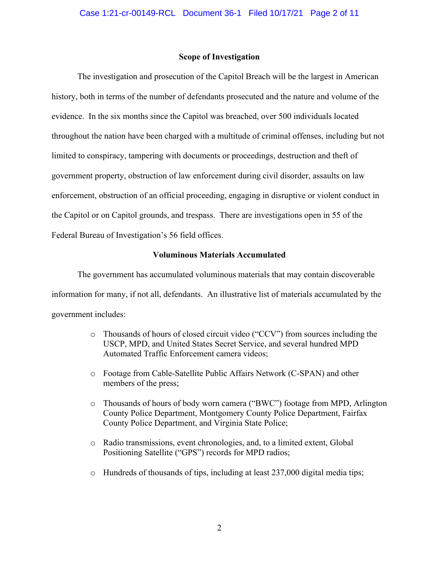### **Scope of Investigation**

The investigation and prosecution of the Capitol Breach will be the largest in American history, both in terms of the number of defendants prosecuted and the nature and volume of the evidence. In the six months since the Capitol was breached, over 500 individuals located throughout the nation have been charged with a multitude of criminal offenses, including but not limited to conspiracy, tampering with documents or proceedings, destruction and theft of government property, obstruction of law enforcement during civil disorder, assaults on law enforcement, obstruction of an official proceeding, engaging in disruptive or violent conduct in the Capitol or on Capitol grounds, and trespass. There are investigations open in 55 of the Federal Bureau of Investigation's 56 field offices.

### **Voluminous Materials Accumulated**

The government has accumulated voluminous materials that may contain discoverable information for many, if not all, defendants. An illustrative list of materials accumulated by the government includes:

- o Thousands of hours of closed circuit video ("CCV") from sources including the USCP, MPD, and United States Secret Service, and several hundred MPD Automated Traffic Enforcement camera videos;
- o Footage from Cable-Satellite Public Affairs Network (C-SPAN) and other members of the press;
- o Thousands of hours of body worn camera ("BWC") footage from MPD, Arlington County Police Department, Montgomery County Police Department, Fairfax County Police Department, and Virginia State Police;
- o Radio transmissions, event chronologies, and, to a limited extent, Global Positioning Satellite ("GPS") records for MPD radios;
- o Hundreds of thousands of tips, including at least 237,000 digital media tips;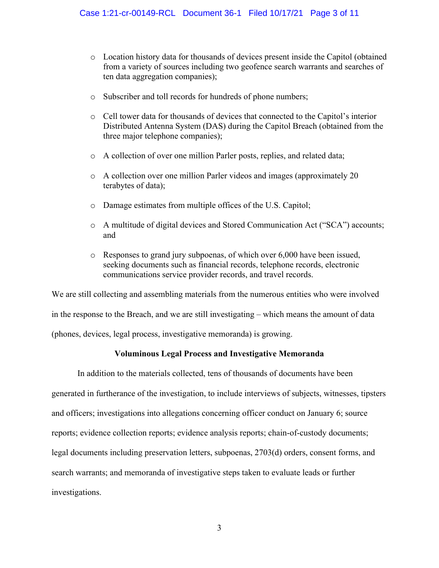- o Location history data for thousands of devices present inside the Capitol (obtained from a variety of sources including two geofence search warrants and searches of ten data aggregation companies);
- o Subscriber and toll records for hundreds of phone numbers;
- o Cell tower data for thousands of devices that connected to the Capitol's interior Distributed Antenna System (DAS) during the Capitol Breach (obtained from the three major telephone companies);
- o A collection of over one million Parler posts, replies, and related data;
- o A collection over one million Parler videos and images (approximately 20 terabytes of data);
- o Damage estimates from multiple offices of the U.S. Capitol;
- o A multitude of digital devices and Stored Communication Act ("SCA") accounts; and
- o Responses to grand jury subpoenas, of which over 6,000 have been issued, seeking documents such as financial records, telephone records, electronic communications service provider records, and travel records.

We are still collecting and assembling materials from the numerous entities who were involved in the response to the Breach, and we are still investigating – which means the amount of data (phones, devices, legal process, investigative memoranda) is growing.

### **Voluminous Legal Process and Investigative Memoranda**

In addition to the materials collected, tens of thousands of documents have been generated in furtherance of the investigation, to include interviews of subjects, witnesses, tipsters and officers; investigations into allegations concerning officer conduct on January 6; source reports; evidence collection reports; evidence analysis reports; chain-of-custody documents; legal documents including preservation letters, subpoenas, 2703(d) orders, consent forms, and search warrants; and memoranda of investigative steps taken to evaluate leads or further investigations.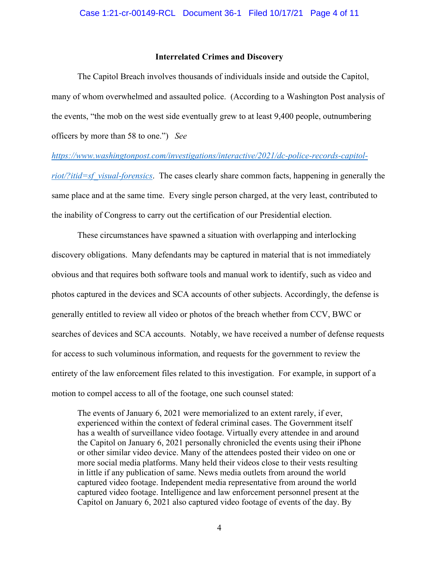### **Interrelated Crimes and Discovery**

The Capitol Breach involves thousands of individuals inside and outside the Capitol, many of whom overwhelmed and assaulted police. (According to a Washington Post analysis of the events, "the mob on the west side eventually grew to at least 9,400 people, outnumbering officers by more than 58 to one.") *See* 

*https://www.washingtonpost.com/investigations/interactive/2021/dc-police-records-capitol-*

*riot/?itid=sf\_visual-forensics*. The cases clearly share common facts, happening in generally the same place and at the same time. Every single person charged, at the very least, contributed to the inability of Congress to carry out the certification of our Presidential election.

These circumstances have spawned a situation with overlapping and interlocking discovery obligations. Many defendants may be captured in material that is not immediately obvious and that requires both software tools and manual work to identify, such as video and photos captured in the devices and SCA accounts of other subjects. Accordingly, the defense is generally entitled to review all video or photos of the breach whether from CCV, BWC or searches of devices and SCA accounts. Notably, we have received a number of defense requests for access to such voluminous information, and requests for the government to review the entirety of the law enforcement files related to this investigation. For example, in support of a motion to compel access to all of the footage, one such counsel stated:

The events of January 6, 2021 were memorialized to an extent rarely, if ever, experienced within the context of federal criminal cases. The Government itself has a wealth of surveillance video footage. Virtually every attendee in and around the Capitol on January 6, 2021 personally chronicled the events using their iPhone or other similar video device. Many of the attendees posted their video on one or more social media platforms. Many held their videos close to their vests resulting in little if any publication of same. News media outlets from around the world captured video footage. Independent media representative from around the world captured video footage. Intelligence and law enforcement personnel present at the Capitol on January 6, 2021 also captured video footage of events of the day. By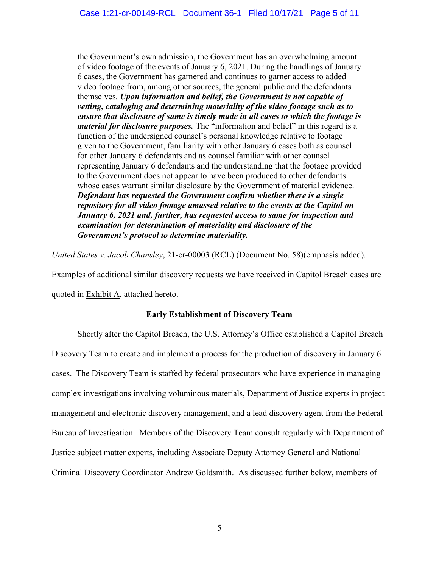the Government's own admission, the Government has an overwhelming amount of video footage of the events of January 6, 2021. During the handlings of January 6 cases, the Government has garnered and continues to garner access to added video footage from, among other sources, the general public and the defendants themselves. *Upon information and belief, the Government is not capable of vetting, cataloging and determining materiality of the video footage such as to ensure that disclosure of same is timely made in all cases to which the footage is material for disclosure purposes.* The "information and belief" in this regard is a function of the undersigned counsel's personal knowledge relative to footage given to the Government, familiarity with other January 6 cases both as counsel for other January 6 defendants and as counsel familiar with other counsel representing January 6 defendants and the understanding that the footage provided to the Government does not appear to have been produced to other defendants whose cases warrant similar disclosure by the Government of material evidence. *Defendant has requested the Government confirm whether there is a single repository for all video footage amassed relative to the events at the Capitol on January 6, 2021 and, further, has requested access to same for inspection and examination for determination of materiality and disclosure of the Government's protocol to determine materiality.*

*United States v. Jacob Chansley*, 21-cr-00003 (RCL) (Document No. 58)(emphasis added).

Examples of additional similar discovery requests we have received in Capitol Breach cases are quoted in Exhibit A, attached hereto.

### **Early Establishment of Discovery Team**

Shortly after the Capitol Breach, the U.S. Attorney's Office established a Capitol Breach Discovery Team to create and implement a process for the production of discovery in January 6 cases. The Discovery Team is staffed by federal prosecutors who have experience in managing complex investigations involving voluminous materials, Department of Justice experts in project management and electronic discovery management, and a lead discovery agent from the Federal Bureau of Investigation. Members of the Discovery Team consult regularly with Department of Justice subject matter experts, including Associate Deputy Attorney General and National Criminal Discovery Coordinator Andrew Goldsmith. As discussed further below, members of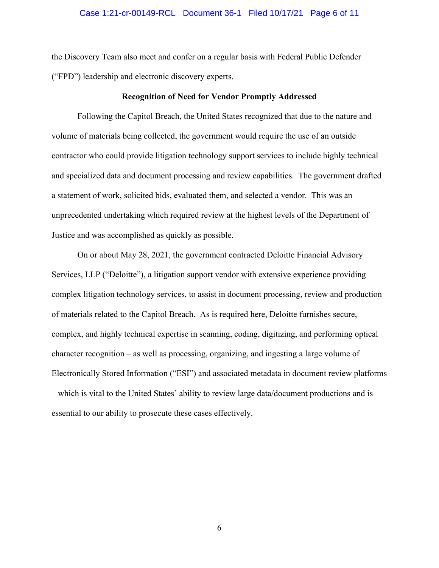### Case 1:21-cr-00149-RCL Document 36-1 Filed 10/17/21 Page 6 of 11

the Discovery Team also meet and confer on a regular basis with Federal Public Defender ("FPD") leadership and electronic discovery experts.

#### **Recognition of Need for Vendor Promptly Addressed**

Following the Capitol Breach, the United States recognized that due to the nature and volume of materials being collected, the government would require the use of an outside contractor who could provide litigation technology support services to include highly technical and specialized data and document processing and review capabilities. The government drafted a statement of work, solicited bids, evaluated them, and selected a vendor. This was an unprecedented undertaking which required review at the highest levels of the Department of Justice and was accomplished as quickly as possible.

On or about May 28, 2021, the government contracted Deloitte Financial Advisory Services, LLP ("Deloitte"), a litigation support vendor with extensive experience providing complex litigation technology services, to assist in document processing, review and production of materials related to the Capitol Breach. As is required here, Deloitte furnishes secure, complex, and highly technical expertise in scanning, coding, digitizing, and performing optical character recognition – as well as processing, organizing, and ingesting a large volume of Electronically Stored Information ("ESI") and associated metadata in document review platforms – which is vital to the United States' ability to review large data/document productions and is essential to our ability to prosecute these cases effectively.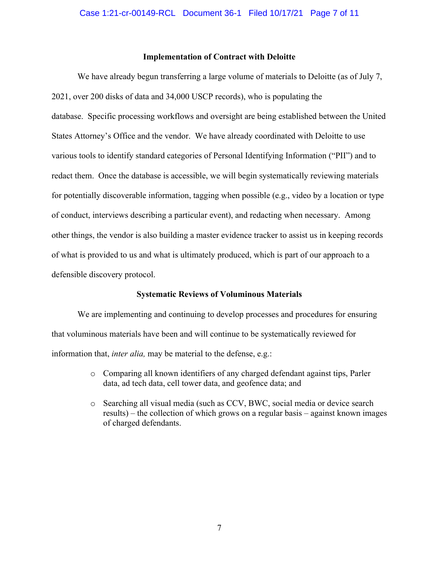### **Implementation of Contract with Deloitte**

We have already begun transferring a large volume of materials to Deloitte (as of July 7, 2021, over 200 disks of data and 34,000 USCP records), who is populating the database. Specific processing workflows and oversight are being established between the United States Attorney's Office and the vendor. We have already coordinated with Deloitte to use various tools to identify standard categories of Personal Identifying Information ("PII") and to redact them. Once the database is accessible, we will begin systematically reviewing materials for potentially discoverable information, tagging when possible (e.g., video by a location or type of conduct, interviews describing a particular event), and redacting when necessary. Among other things, the vendor is also building a master evidence tracker to assist us in keeping records of what is provided to us and what is ultimately produced, which is part of our approach to a defensible discovery protocol.

#### **Systematic Reviews of Voluminous Materials**

We are implementing and continuing to develop processes and procedures for ensuring that voluminous materials have been and will continue to be systematically reviewed for information that, *inter alia,* may be material to the defense, e.g.:

- o Comparing all known identifiers of any charged defendant against tips, Parler data, ad tech data, cell tower data, and geofence data; and
- o Searching all visual media (such as CCV, BWC, social media or device search results) – the collection of which grows on a regular basis – against known images of charged defendants.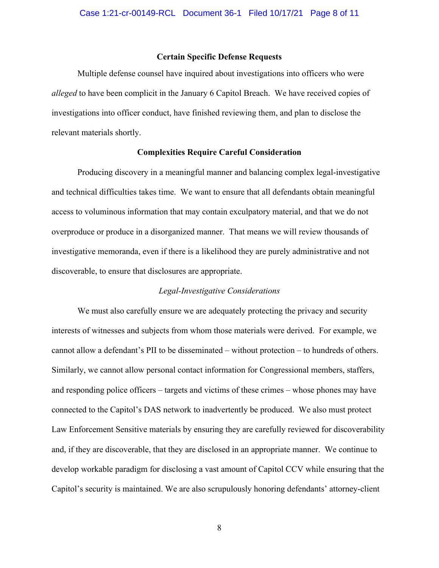### **Certain Specific Defense Requests**

Multiple defense counsel have inquired about investigations into officers who were *alleged* to have been complicit in the January 6 Capitol Breach. We have received copies of investigations into officer conduct, have finished reviewing them, and plan to disclose the relevant materials shortly.

#### **Complexities Require Careful Consideration**

Producing discovery in a meaningful manner and balancing complex legal-investigative and technical difficulties takes time. We want to ensure that all defendants obtain meaningful access to voluminous information that may contain exculpatory material, and that we do not overproduce or produce in a disorganized manner. That means we will review thousands of investigative memoranda, even if there is a likelihood they are purely administrative and not discoverable, to ensure that disclosures are appropriate.

#### *Legal-Investigative Considerations*

We must also carefully ensure we are adequately protecting the privacy and security interests of witnesses and subjects from whom those materials were derived. For example, we cannot allow a defendant's PII to be disseminated – without protection – to hundreds of others. Similarly, we cannot allow personal contact information for Congressional members, staffers, and responding police officers – targets and victims of these crimes – whose phones may have connected to the Capitol's DAS network to inadvertently be produced. We also must protect Law Enforcement Sensitive materials by ensuring they are carefully reviewed for discoverability and, if they are discoverable, that they are disclosed in an appropriate manner. We continue to develop workable paradigm for disclosing a vast amount of Capitol CCV while ensuring that the Capitol's security is maintained. We are also scrupulously honoring defendants' attorney-client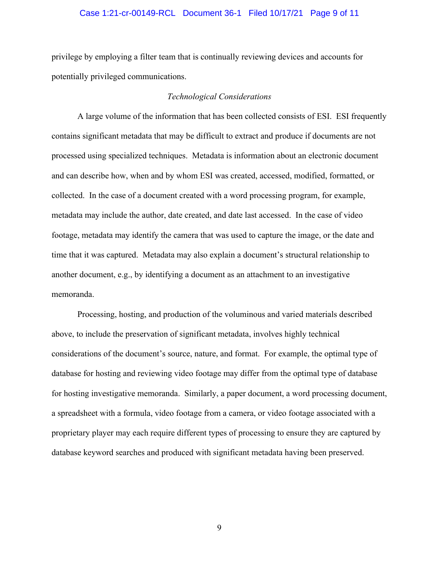### Case 1:21-cr-00149-RCL Document 36-1 Filed 10/17/21 Page 9 of 11

privilege by employing a filter team that is continually reviewing devices and accounts for potentially privileged communications.

### *Technological Considerations*

A large volume of the information that has been collected consists of ESI. ESI frequently contains significant metadata that may be difficult to extract and produce if documents are not processed using specialized techniques. Metadata is information about an electronic document and can describe how, when and by whom ESI was created, accessed, modified, formatted, or collected. In the case of a document created with a word processing program, for example, metadata may include the author, date created, and date last accessed. In the case of video footage, metadata may identify the camera that was used to capture the image, or the date and time that it was captured. Metadata may also explain a document's structural relationship to another document, e.g., by identifying a document as an attachment to an investigative memoranda.

Processing, hosting, and production of the voluminous and varied materials described above, to include the preservation of significant metadata, involves highly technical considerations of the document's source, nature, and format. For example, the optimal type of database for hosting and reviewing video footage may differ from the optimal type of database for hosting investigative memoranda. Similarly, a paper document, a word processing document, a spreadsheet with a formula, video footage from a camera, or video footage associated with a proprietary player may each require different types of processing to ensure they are captured by database keyword searches and produced with significant metadata having been preserved.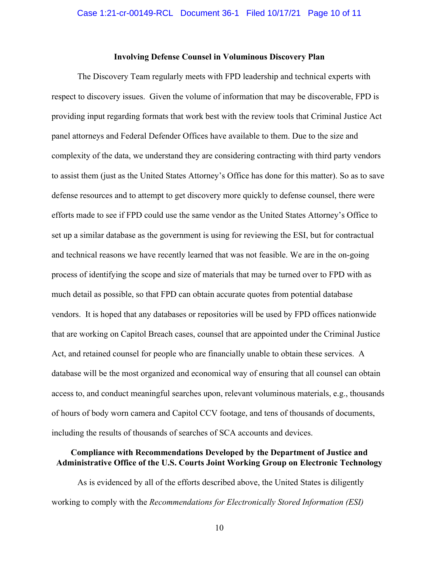### **Involving Defense Counsel in Voluminous Discovery Plan**

The Discovery Team regularly meets with FPD leadership and technical experts with respect to discovery issues. Given the volume of information that may be discoverable, FPD is providing input regarding formats that work best with the review tools that Criminal Justice Act panel attorneys and Federal Defender Offices have available to them. Due to the size and complexity of the data, we understand they are considering contracting with third party vendors to assist them (just as the United States Attorney's Office has done for this matter). So as to save defense resources and to attempt to get discovery more quickly to defense counsel, there were efforts made to see if FPD could use the same vendor as the United States Attorney's Office to set up a similar database as the government is using for reviewing the ESI, but for contractual and technical reasons we have recently learned that was not feasible. We are in the on-going process of identifying the scope and size of materials that may be turned over to FPD with as much detail as possible, so that FPD can obtain accurate quotes from potential database vendors. It is hoped that any databases or repositories will be used by FPD offices nationwide that are working on Capitol Breach cases, counsel that are appointed under the Criminal Justice Act, and retained counsel for people who are financially unable to obtain these services. A database will be the most organized and economical way of ensuring that all counsel can obtain access to, and conduct meaningful searches upon, relevant voluminous materials, e.g., thousands of hours of body worn camera and Capitol CCV footage, and tens of thousands of documents, including the results of thousands of searches of SCA accounts and devices.

### **Compliance with Recommendations Developed by the Department of Justice and Administrative Office of the U.S. Courts Joint Working Group on Electronic Technology**

As is evidenced by all of the efforts described above, the United States is diligently working to comply with the *Recommendations for Electronically Stored Information (ESI)*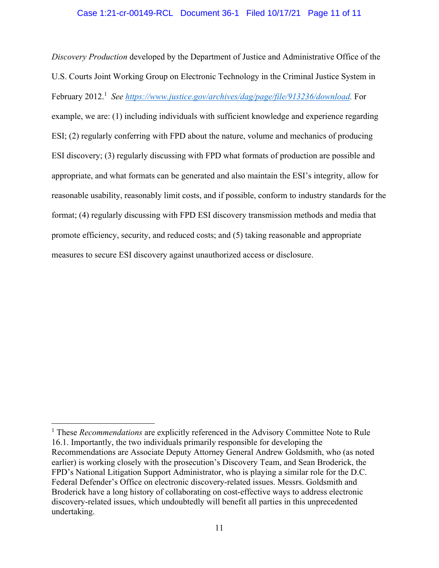*Discovery Production* developed by the Department of Justice and Administrative Office of the U.S. Courts Joint Working Group on Electronic Technology in the Criminal Justice System in February 2012.<sup>1</sup> See https://www.justice.gov/archives/dag/page/file/913236/download. For example, we are: (1) including individuals with sufficient knowledge and experience regarding ESI; (2) regularly conferring with FPD about the nature, volume and mechanics of producing ESI discovery; (3) regularly discussing with FPD what formats of production are possible and appropriate, and what formats can be generated and also maintain the ESI's integrity, allow for reasonable usability, reasonably limit costs, and if possible, conform to industry standards for the format; (4) regularly discussing with FPD ESI discovery transmission methods and media that promote efficiency, security, and reduced costs; and (5) taking reasonable and appropriate measures to secure ESI discovery against unauthorized access or disclosure.

<sup>&</sup>lt;sup>1</sup> These *Recommendations* are explicitly referenced in the Advisory Committee Note to Rule 16.1. Importantly, the two individuals primarily responsible for developing the Recommendations are Associate Deputy Attorney General Andrew Goldsmith, who (as noted earlier) is working closely with the prosecution's Discovery Team, and Sean Broderick, the FPD's National Litigation Support Administrator, who is playing a similar role for the D.C. Federal Defender's Office on electronic discovery-related issues. Messrs. Goldsmith and Broderick have a long history of collaborating on cost-effective ways to address electronic discovery-related issues, which undoubtedly will benefit all parties in this unprecedented undertaking.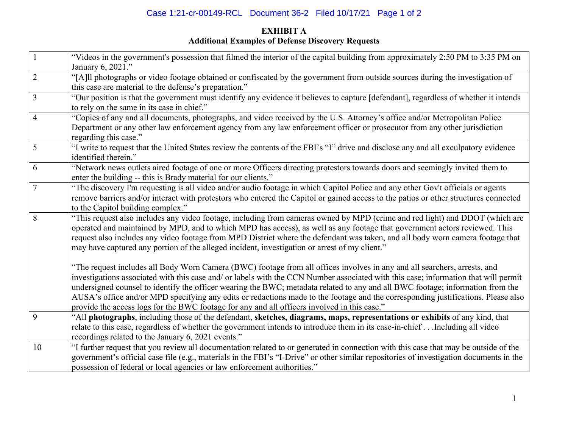# Case 1:21-cr-00149-RCL Document 36-2 Filed 10/17/21 Page 1 of 2

## **EXHIBIT A Additional Examples of Defense Discovery Requests**

| $\mathbf{1}$   | "Videos in the government's possession that filmed the interior of the capital building from approximately 2:50 PM to 3:35 PM on<br>January 6, 2021."                                                                                                                                                                                                                                                                                                                                                                                                                                                                                   |
|----------------|-----------------------------------------------------------------------------------------------------------------------------------------------------------------------------------------------------------------------------------------------------------------------------------------------------------------------------------------------------------------------------------------------------------------------------------------------------------------------------------------------------------------------------------------------------------------------------------------------------------------------------------------|
| $\sqrt{2}$     | "[A]ll photographs or video footage obtained or confiscated by the government from outside sources during the investigation of<br>this case are material to the defense's preparation."                                                                                                                                                                                                                                                                                                                                                                                                                                                 |
| $\overline{3}$ | "Our position is that the government must identify any evidence it believes to capture [defendant], regardless of whether it intends<br>to rely on the same in its case in chief."                                                                                                                                                                                                                                                                                                                                                                                                                                                      |
| $\overline{4}$ | "Copies of any and all documents, photographs, and video received by the U.S. Attorney's office and/or Metropolitan Police<br>Department or any other law enforcement agency from any law enforcement officer or prosecutor from any other jurisdiction<br>regarding this case."                                                                                                                                                                                                                                                                                                                                                        |
| 5              | "I write to request that the United States review the contents of the FBI's "I" drive and disclose any and all exculpatory evidence<br>identified therein."                                                                                                                                                                                                                                                                                                                                                                                                                                                                             |
| 6              | "Network news outlets aired footage of one or more Officers directing protestors towards doors and seemingly invited them to<br>enter the building -- this is Brady material for our clients."                                                                                                                                                                                                                                                                                                                                                                                                                                          |
| 7              | "The discovery I'm requesting is all video and/or audio footage in which Capitol Police and any other Gov't officials or agents<br>remove barriers and/or interact with protestors who entered the Capitol or gained access to the patios or other structures connected<br>to the Capitol building complex."                                                                                                                                                                                                                                                                                                                            |
| 8              | "This request also includes any video footage, including from cameras owned by MPD (crime and red light) and DDOT (which are<br>operated and maintained by MPD, and to which MPD has access), as well as any footage that government actors reviewed. This<br>request also includes any video footage from MPD District where the defendant was taken, and all body worn camera footage that<br>may have captured any portion of the alleged incident, investigation or arrest of my client."                                                                                                                                           |
|                | "The request includes all Body Worn Camera (BWC) footage from all offices involves in any and all searchers, arrests, and<br>investigations associated with this case and/ or labels with the CCN Number associated with this case; information that will permit<br>undersigned counsel to identify the officer wearing the BWC; metadata related to any and all BWC footage; information from the<br>AUSA's office and/or MPD specifying any edits or redactions made to the footage and the corresponding justifications. Please also<br>provide the access logs for the BWC footage for any and all officers involved in this case." |
| 9              | "All photographs, including those of the defendant, sketches, diagrams, maps, representations or exhibits of any kind, that<br>relate to this case, regardless of whether the government intends to introduce them in its case-in-chiefIncluding all video<br>recordings related to the January 6, 2021 events."                                                                                                                                                                                                                                                                                                                        |
| 10             | "I further request that you review all documentation related to or generated in connection with this case that may be outside of the<br>government's official case file (e.g., materials in the FBI's "I-Drive" or other similar repositories of investigation documents in the<br>possession of federal or local agencies or law enforcement authorities."                                                                                                                                                                                                                                                                             |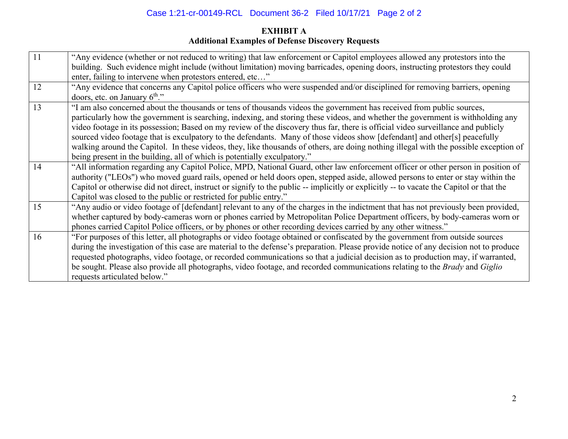## Case 1:21-cr-00149-RCL Document 36-2 Filed 10/17/21 Page 2 of 2

## **EXHIBIT A Additional Examples of Defense Discovery Requests**

| 11 | "Any evidence (whether or not reduced to writing) that law enforcement or Capitol employees allowed any protestors into the             |
|----|-----------------------------------------------------------------------------------------------------------------------------------------|
|    | building. Such evidence might include (without limitation) moving barricades, opening doors, instructing protestors they could          |
|    | enter, failing to intervene when protestors entered, etc"                                                                               |
| 12 | "Any evidence that concerns any Capitol police officers who were suspended and/or disciplined for removing barriers, opening            |
|    | doors, etc. on January $6^{\text{th}}$ ."                                                                                               |
| 13 | "I am also concerned about the thousands or tens of thousands videos the government has received from public sources,                   |
|    | particularly how the government is searching, indexing, and storing these videos, and whether the government is withholding any         |
|    | video footage in its possession; Based on my review of the discovery thus far, there is official video surveillance and publicly        |
|    | sourced video footage that is exculpatory to the defendants. Many of those videos show [defendant] and other[s] peacefully              |
|    | walking around the Capitol. In these videos, they, like thousands of others, are doing nothing illegal with the possible exception of   |
|    | being present in the building, all of which is potentially exculpatory."                                                                |
| 14 | "All information regarding any Capitol Police, MPD, National Guard, other law enforcement officer or other person in position of        |
|    | authority ("LEOs") who moved guard rails, opened or held doors open, stepped aside, allowed persons to enter or stay within the         |
|    | Capitol or otherwise did not direct, instruct or signify to the public -- implicitly or explicitly -- to vacate the Capitol or that the |
|    | Capitol was closed to the public or restricted for public entry."                                                                       |
| 15 | "Any audio or video footage of [defendant] relevant to any of the charges in the indictment that has not previously been provided,      |
|    | whether captured by body-cameras worn or phones carried by Metropolitan Police Department officers, by body-cameras worn or             |
|    | phones carried Capitol Police officers, or by phones or other recording devices carried by any other witness."                          |
| 16 | "For purposes of this letter, all photographs or video footage obtained or confiscated by the government from outside sources           |
|    | during the investigation of this case are material to the defense's preparation. Please provide notice of any decision not to produce   |
|    | requested photographs, video footage, or recorded communications so that a judicial decision as to production may, if warranted,        |
|    | be sought. Please also provide all photographs, video footage, and recorded communications relating to the Brady and Giglio             |
|    | requests articulated below."                                                                                                            |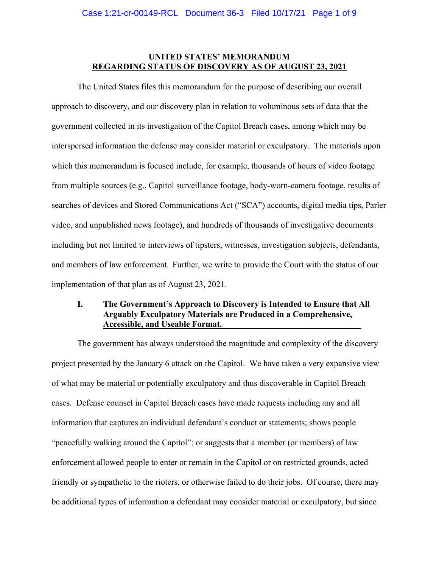### **UNITED STATES' MEMORANDUM REGARDING STATUS OF DISCOVERY AS OF AUGUST 23, 2021**

 The United States files this memorandum for the purpose of describing our overall approach to discovery, and our discovery plan in relation to voluminous sets of data that the government collected in its investigation of the Capitol Breach cases, among which may be interspersed information the defense may consider material or exculpatory. The materials upon which this memorandum is focused include, for example, thousands of hours of video footage from multiple sources (e.g., Capitol surveillance footage, body-worn-camera footage, results of searches of devices and Stored Communications Act ("SCA") accounts, digital media tips, Parler video, and unpublished news footage), and hundreds of thousands of investigative documents including but not limited to interviews of tipsters, witnesses, investigation subjects, defendants, and members of law enforcement. Further, we write to provide the Court with the status of our implementation of that plan as of August 23, 2021.

### **I. The Government's Approach to Discovery is Intended to Ensure that All Arguably Exculpatory Materials are Produced in a Comprehensive, Accessible, and Useable Format.**

The government has always understood the magnitude and complexity of the discovery project presented by the January 6 attack on the Capitol. We have taken a very expansive view of what may be material or potentially exculpatory and thus discoverable in Capitol Breach cases. Defense counsel in Capitol Breach cases have made requests including any and all information that captures an individual defendant's conduct or statements; shows people "peacefully walking around the Capitol"; or suggests that a member (or members) of law enforcement allowed people to enter or remain in the Capitol or on restricted grounds, acted friendly or sympathetic to the rioters, or otherwise failed to do their jobs. Of course, there may be additional types of information a defendant may consider material or exculpatory, but since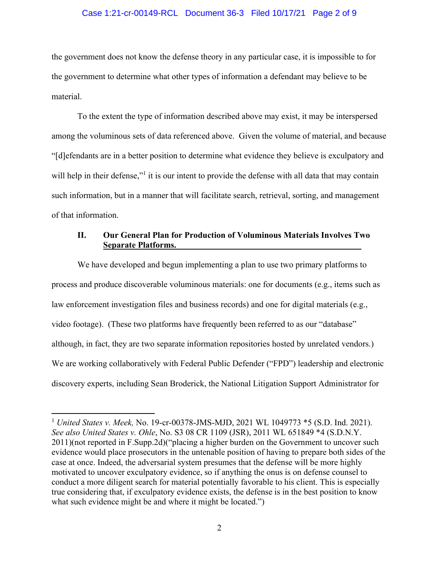### Case 1:21-cr-00149-RCL Document 36-3 Filed 10/17/21 Page 2 of 9

the government does not know the defense theory in any particular case, it is impossible to for the government to determine what other types of information a defendant may believe to be material.

To the extent the type of information described above may exist, it may be interspersed among the voluminous sets of data referenced above. Given the volume of material, and because "[d]efendants are in a better position to determine what evidence they believe is exculpatory and will help in their defense,"<sup>1</sup> it is our intent to provide the defense with all data that may contain such information, but in a manner that will facilitate search, retrieval, sorting, and management of that information.

### **II. Our General Plan for Production of Voluminous Materials Involves Two Separate Platforms.**

We have developed and begun implementing a plan to use two primary platforms to process and produce discoverable voluminous materials: one for documents (e.g., items such as law enforcement investigation files and business records) and one for digital materials (e.g., video footage). (These two platforms have frequently been referred to as our "database" although, in fact, they are two separate information repositories hosted by unrelated vendors.) We are working collaboratively with Federal Public Defender ("FPD") leadership and electronic discovery experts, including Sean Broderick, the National Litigation Support Administrator for

<sup>1</sup> *United States v. Meek,* No. 19-cr-00378-JMS-MJD, 2021 WL 1049773 \*5 (S.D. Ind. 2021). *See also United States v. Ohle*, No. S3 08 CR 1109 (JSR), 2011 WL 651849 \*4 (S.D.N.Y. 2011)(not reported in F.Supp.2d)("placing a higher burden on the Government to uncover such evidence would place prosecutors in the untenable position of having to prepare both sides of the case at once. Indeed, the adversarial system presumes that the defense will be more highly motivated to uncover exculpatory evidence, so if anything the onus is on defense counsel to conduct a more diligent search for material potentially favorable to his client. This is especially true considering that, if exculpatory evidence exists, the defense is in the best position to know what such evidence might be and where it might be located.")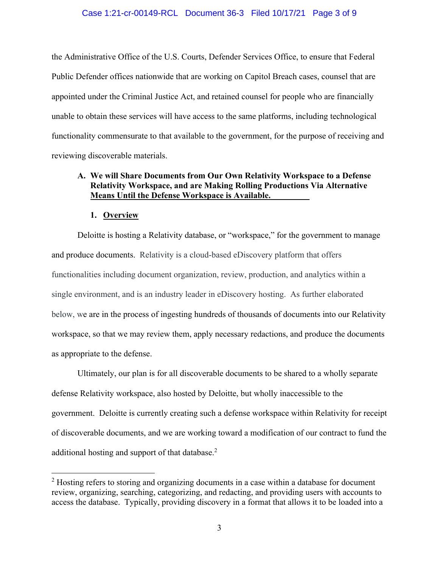### Case 1:21-cr-00149-RCL Document 36-3 Filed 10/17/21 Page 3 of 9

the Administrative Office of the U.S. Courts, Defender Services Office, to ensure that Federal Public Defender offices nationwide that are working on Capitol Breach cases, counsel that are appointed under the Criminal Justice Act, and retained counsel for people who are financially unable to obtain these services will have access to the same platforms, including technological functionality commensurate to that available to the government, for the purpose of receiving and reviewing discoverable materials.

### **A. We will Share Documents from Our Own Relativity Workspace to a Defense Relativity Workspace, and are Making Rolling Productions Via Alternative Means Until the Defense Workspace is Available.**

### **1. Overview**

Deloitte is hosting a Relativity database, or "workspace," for the government to manage and produce documents. Relativity is a cloud-based eDiscovery platform that offers functionalities including document organization, review, production, and analytics within a single environment, and is an industry leader in eDiscovery hosting. As further elaborated below, we are in the process of ingesting hundreds of thousands of documents into our Relativity workspace, so that we may review them, apply necessary redactions, and produce the documents as appropriate to the defense.

Ultimately, our plan is for all discoverable documents to be shared to a wholly separate defense Relativity workspace, also hosted by Deloitte, but wholly inaccessible to the government. Deloitte is currently creating such a defense workspace within Relativity for receipt of discoverable documents, and we are working toward a modification of our contract to fund the additional hosting and support of that database. $2$ 

 $2$  Hosting refers to storing and organizing documents in a case within a database for document review, organizing, searching, categorizing, and redacting, and providing users with accounts to access the database. Typically, providing discovery in a format that allows it to be loaded into a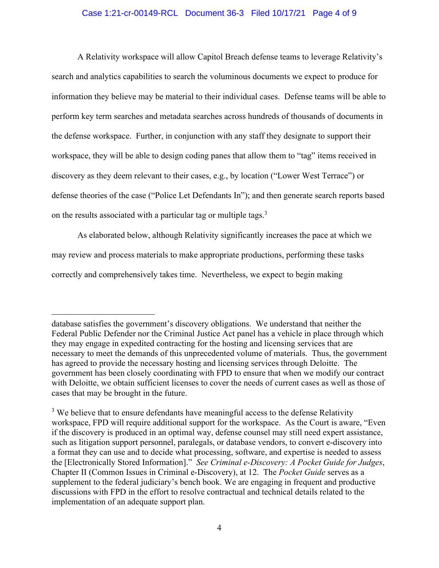### Case 1:21-cr-00149-RCL Document 36-3 Filed 10/17/21 Page 4 of 9

A Relativity workspace will allow Capitol Breach defense teams to leverage Relativity's search and analytics capabilities to search the voluminous documents we expect to produce for information they believe may be material to their individual cases. Defense teams will be able to perform key term searches and metadata searches across hundreds of thousands of documents in the defense workspace. Further, in conjunction with any staff they designate to support their workspace, they will be able to design coding panes that allow them to "tag" items received in discovery as they deem relevant to their cases, e.g., by location ("Lower West Terrace") or defense theories of the case ("Police Let Defendants In"); and then generate search reports based on the results associated with a particular tag or multiple tags.<sup>3</sup>

As elaborated below, although Relativity significantly increases the pace at which we may review and process materials to make appropriate productions, performing these tasks correctly and comprehensively takes time. Nevertheless, we expect to begin making

database satisfies the government's discovery obligations. We understand that neither the Federal Public Defender nor the Criminal Justice Act panel has a vehicle in place through which they may engage in expedited contracting for the hosting and licensing services that are necessary to meet the demands of this unprecedented volume of materials. Thus, the government has agreed to provide the necessary hosting and licensing services through Deloitte. The government has been closely coordinating with FPD to ensure that when we modify our contract with Deloitte, we obtain sufficient licenses to cover the needs of current cases as well as those of cases that may be brought in the future.

 $3$  We believe that to ensure defendants have meaningful access to the defense Relativity workspace, FPD will require additional support for the workspace. As the Court is aware, "Even if the discovery is produced in an optimal way, defense counsel may still need expert assistance, such as litigation support personnel, paralegals, or database vendors, to convert e-discovery into a format they can use and to decide what processing, software, and expertise is needed to assess the [Electronically Stored Information]." *See Criminal e-Discovery: A Pocket Guide for Judges*, Chapter II (Common Issues in Criminal e-Discovery), at 12.The *Pocket Guide* serves as a supplement to the federal judiciary's bench book. We are engaging in frequent and productive discussions with FPD in the effort to resolve contractual and technical details related to the implementation of an adequate support plan.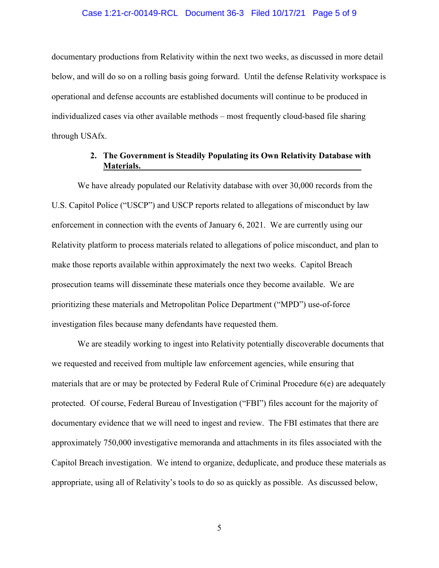### Case 1:21-cr-00149-RCL Document 36-3 Filed 10/17/21 Page 5 of 9

documentary productions from Relativity within the next two weeks, as discussed in more detail below, and will do so on a rolling basis going forward. Until the defense Relativity workspace is operational and defense accounts are established documents will continue to be produced in individualized cases via other available methods – most frequently cloud-based file sharing through USAfx.

### **2. The Government is Steadily Populating its Own Relativity Database with Materials.**

We have already populated our Relativity database with over 30,000 records from the U.S. Capitol Police ("USCP") and USCP reports related to allegations of misconduct by law enforcement in connection with the events of January 6, 2021. We are currently using our Relativity platform to process materials related to allegations of police misconduct, and plan to make those reports available within approximately the next two weeks. Capitol Breach prosecution teams will disseminate these materials once they become available. We are prioritizing these materials and Metropolitan Police Department ("MPD") use-of-force investigation files because many defendants have requested them.

We are steadily working to ingest into Relativity potentially discoverable documents that we requested and received from multiple law enforcement agencies, while ensuring that materials that are or may be protected by Federal Rule of Criminal Procedure 6(e) are adequately protected. Of course, Federal Bureau of Investigation ("FBI") files account for the majority of documentary evidence that we will need to ingest and review. The FBI estimates that there are approximately 750,000 investigative memoranda and attachments in its files associated with the Capitol Breach investigation. We intend to organize, deduplicate, and produce these materials as appropriate, using all of Relativity's tools to do so as quickly as possible. As discussed below,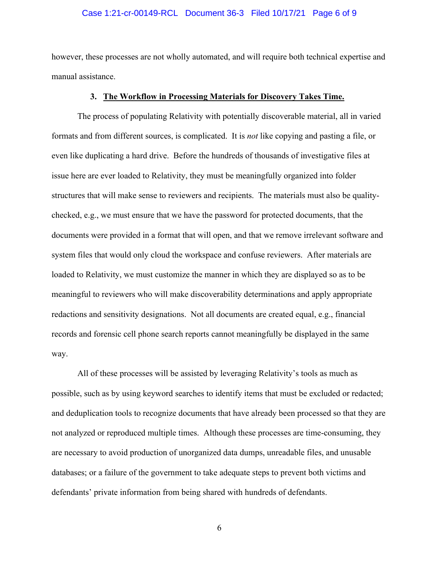### Case 1:21-cr-00149-RCL Document 36-3 Filed 10/17/21 Page 6 of 9

however, these processes are not wholly automated, and will require both technical expertise and manual assistance.

#### **3. The Workflow in Processing Materials for Discovery Takes Time.**

The process of populating Relativity with potentially discoverable material, all in varied formats and from different sources, is complicated. It is *not* like copying and pasting a file, or even like duplicating a hard drive. Before the hundreds of thousands of investigative files at issue here are ever loaded to Relativity, they must be meaningfully organized into folder structures that will make sense to reviewers and recipients. The materials must also be qualitychecked, e.g., we must ensure that we have the password for protected documents, that the documents were provided in a format that will open, and that we remove irrelevant software and system files that would only cloud the workspace and confuse reviewers. After materials are loaded to Relativity, we must customize the manner in which they are displayed so as to be meaningful to reviewers who will make discoverability determinations and apply appropriate redactions and sensitivity designations. Not all documents are created equal, e.g., financial records and forensic cell phone search reports cannot meaningfully be displayed in the same way.

All of these processes will be assisted by leveraging Relativity's tools as much as possible, such as by using keyword searches to identify items that must be excluded or redacted; and deduplication tools to recognize documents that have already been processed so that they are not analyzed or reproduced multiple times. Although these processes are time-consuming, they are necessary to avoid production of unorganized data dumps, unreadable files, and unusable databases; or a failure of the government to take adequate steps to prevent both victims and defendants' private information from being shared with hundreds of defendants.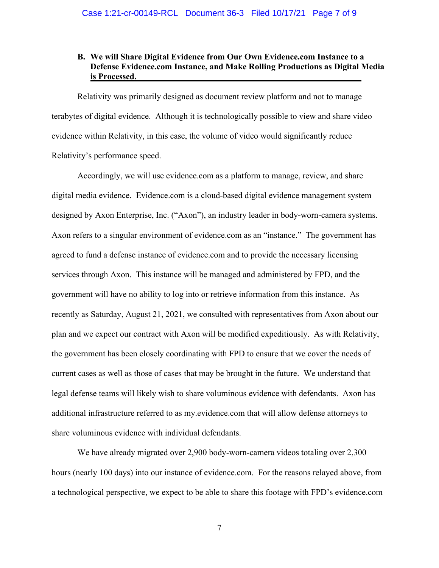### **B. We will Share Digital Evidence from Our Own Evidence.com Instance to a Defense Evidence.com Instance, and Make Rolling Productions as Digital Media is Processed.**

Relativity was primarily designed as document review platform and not to manage terabytes of digital evidence. Although it is technologically possible to view and share video evidence within Relativity, in this case, the volume of video would significantly reduce Relativity's performance speed.

Accordingly, we will use evidence.com as a platform to manage, review, and share digital media evidence. Evidence.com is a cloud-based digital evidence management system designed by Axon Enterprise, Inc. ("Axon"), an industry leader in body-worn-camera systems. Axon refers to a singular environment of evidence.com as an "instance." The government has agreed to fund a defense instance of evidence.com and to provide the necessary licensing services through Axon. This instance will be managed and administered by FPD, and the government will have no ability to log into or retrieve information from this instance. As recently as Saturday, August 21, 2021, we consulted with representatives from Axon about our plan and we expect our contract with Axon will be modified expeditiously. As with Relativity, the government has been closely coordinating with FPD to ensure that we cover the needs of current cases as well as those of cases that may be brought in the future. We understand that legal defense teams will likely wish to share voluminous evidence with defendants. Axon has additional infrastructure referred to as my.evidence.com that will allow defense attorneys to share voluminous evidence with individual defendants.

We have already migrated over 2,900 body-worn-camera videos totaling over 2,300 hours (nearly 100 days) into our instance of evidence.com. For the reasons relayed above, from a technological perspective, we expect to be able to share this footage with FPD's evidence.com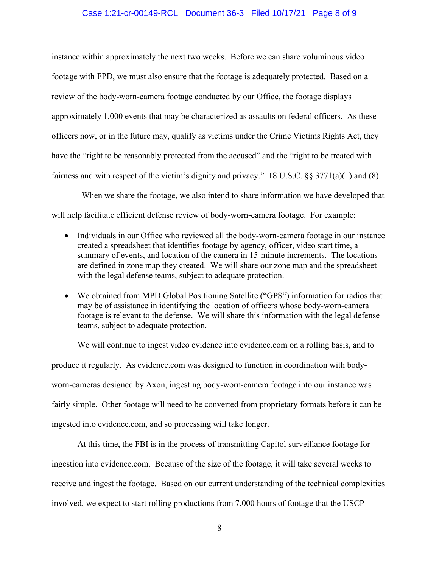### Case 1:21-cr-00149-RCL Document 36-3 Filed 10/17/21 Page 8 of 9

instance within approximately the next two weeks. Before we can share voluminous video footage with FPD, we must also ensure that the footage is adequately protected. Based on a review of the body-worn-camera footage conducted by our Office, the footage displays approximately 1,000 events that may be characterized as assaults on federal officers. As these officers now, or in the future may, qualify as victims under the Crime Victims Rights Act, they have the "right to be reasonably protected from the accused" and the "right to be treated with fairness and with respect of the victim's dignity and privacy." 18 U.S.C. §§ 3771(a)(1) and (8).

 When we share the footage, we also intend to share information we have developed that will help facilitate efficient defense review of body-worn-camera footage. For example:

- Individuals in our Office who reviewed all the body-worn-camera footage in our instance created a spreadsheet that identifies footage by agency, officer, video start time, a summary of events, and location of the camera in 15-minute increments. The locations are defined in zone map they created. We will share our zone map and the spreadsheet with the legal defense teams, subject to adequate protection.
- We obtained from MPD Global Positioning Satellite ("GPS") information for radios that may be of assistance in identifying the location of officers whose body-worn-camera footage is relevant to the defense. We will share this information with the legal defense teams, subject to adequate protection.

We will continue to ingest video evidence into evidence.com on a rolling basis, and to produce it regularly. As evidence.com was designed to function in coordination with bodyworn-cameras designed by Axon, ingesting body-worn-camera footage into our instance was fairly simple. Other footage will need to be converted from proprietary formats before it can be ingested into evidence.com, and so processing will take longer.

At this time, the FBI is in the process of transmitting Capitol surveillance footage for ingestion into evidence.com. Because of the size of the footage, it will take several weeks to receive and ingest the footage. Based on our current understanding of the technical complexities involved, we expect to start rolling productions from 7,000 hours of footage that the USCP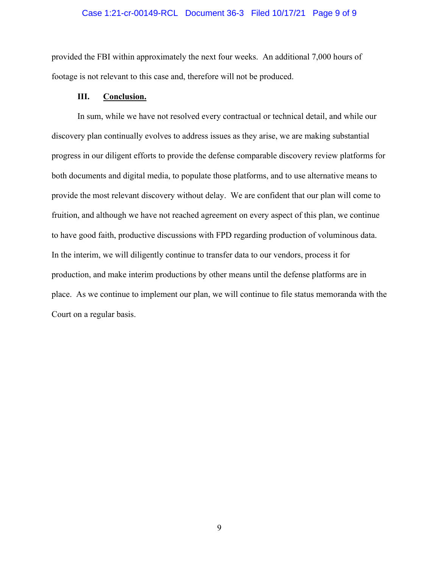### Case 1:21-cr-00149-RCL Document 36-3 Filed 10/17/21 Page 9 of 9

provided the FBI within approximately the next four weeks. An additional 7,000 hours of footage is not relevant to this case and, therefore will not be produced.

### **III. Conclusion.**

In sum, while we have not resolved every contractual or technical detail, and while our discovery plan continually evolves to address issues as they arise, we are making substantial progress in our diligent efforts to provide the defense comparable discovery review platforms for both documents and digital media, to populate those platforms, and to use alternative means to provide the most relevant discovery without delay. We are confident that our plan will come to fruition, and although we have not reached agreement on every aspect of this plan, we continue to have good faith, productive discussions with FPD regarding production of voluminous data. In the interim, we will diligently continue to transfer data to our vendors, process it for production, and make interim productions by other means until the defense platforms are in place. As we continue to implement our plan, we will continue to file status memoranda with the Court on a regular basis.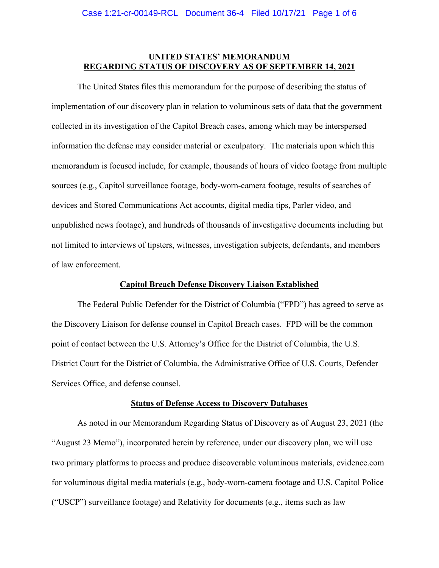### **UNITED STATES' MEMORANDUM REGARDING STATUS OF DISCOVERY AS OF SEPTEMBER 14, 2021**

 The United States files this memorandum for the purpose of describing the status of implementation of our discovery plan in relation to voluminous sets of data that the government collected in its investigation of the Capitol Breach cases, among which may be interspersed information the defense may consider material or exculpatory. The materials upon which this memorandum is focused include, for example, thousands of hours of video footage from multiple sources (e.g., Capitol surveillance footage, body-worn-camera footage, results of searches of devices and Stored Communications Act accounts, digital media tips, Parler video, and unpublished news footage), and hundreds of thousands of investigative documents including but not limited to interviews of tipsters, witnesses, investigation subjects, defendants, and members of law enforcement.

#### **Capitol Breach Defense Discovery Liaison Established**

The Federal Public Defender for the District of Columbia ("FPD") has agreed to serve as the Discovery Liaison for defense counsel in Capitol Breach cases. FPD will be the common point of contact between the U.S. Attorney's Office for the District of Columbia, the U.S. District Court for the District of Columbia, the Administrative Office of U.S. Courts, Defender Services Office, and defense counsel.

#### **Status of Defense Access to Discovery Databases**

As noted in our Memorandum Regarding Status of Discovery as of August 23, 2021 (the "August 23 Memo"), incorporated herein by reference, under our discovery plan, we will use two primary platforms to process and produce discoverable voluminous materials, evidence.com for voluminous digital media materials (e.g., body-worn-camera footage and U.S. Capitol Police ("USCP") surveillance footage) and Relativity for documents (e.g., items such as law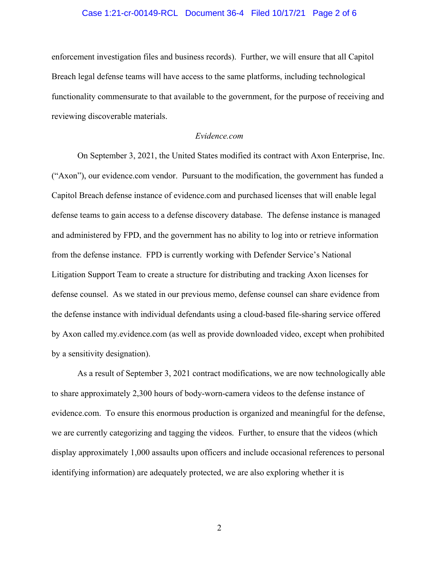### Case 1:21-cr-00149-RCL Document 36-4 Filed 10/17/21 Page 2 of 6

enforcement investigation files and business records). Further, we will ensure that all Capitol Breach legal defense teams will have access to the same platforms, including technological functionality commensurate to that available to the government, for the purpose of receiving and reviewing discoverable materials.

#### *Evidence.com*

On September 3, 2021, the United States modified its contract with Axon Enterprise, Inc. ("Axon"), our evidence.com vendor. Pursuant to the modification, the government has funded a Capitol Breach defense instance of evidence.com and purchased licenses that will enable legal defense teams to gain access to a defense discovery database. The defense instance is managed and administered by FPD, and the government has no ability to log into or retrieve information from the defense instance. FPD is currently working with Defender Service's National Litigation Support Team to create a structure for distributing and tracking Axon licenses for defense counsel. As we stated in our previous memo, defense counsel can share evidence from the defense instance with individual defendants using a cloud-based file-sharing service offered by Axon called my.evidence.com (as well as provide downloaded video, except when prohibited by a sensitivity designation).

 As a result of September 3, 2021 contract modifications, we are now technologically able to share approximately 2,300 hours of body-worn-camera videos to the defense instance of evidence.com. To ensure this enormous production is organized and meaningful for the defense, we are currently categorizing and tagging the videos. Further, to ensure that the videos (which display approximately 1,000 assaults upon officers and include occasional references to personal identifying information) are adequately protected, we are also exploring whether it is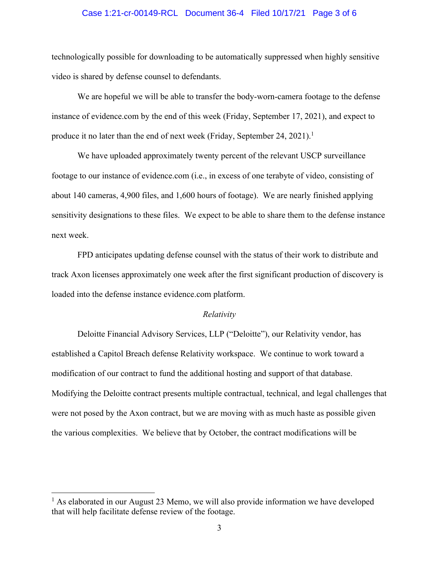### Case 1:21-cr-00149-RCL Document 36-4 Filed 10/17/21 Page 3 of 6

technologically possible for downloading to be automatically suppressed when highly sensitive video is shared by defense counsel to defendants.

We are hopeful we will be able to transfer the body-worn-camera footage to the defense instance of evidence.com by the end of this week (Friday, September 17, 2021), and expect to produce it no later than the end of next week (Friday, September 24, 2021).<sup>1</sup>

 We have uploaded approximately twenty percent of the relevant USCP surveillance footage to our instance of evidence.com (i.e., in excess of one terabyte of video, consisting of about 140 cameras, 4,900 files, and 1,600 hours of footage). We are nearly finished applying sensitivity designations to these files. We expect to be able to share them to the defense instance next week.

FPD anticipates updating defense counsel with the status of their work to distribute and track Axon licenses approximately one week after the first significant production of discovery is loaded into the defense instance evidence.com platform.

### *Relativity*

Deloitte Financial Advisory Services, LLP ("Deloitte"), our Relativity vendor, has established a Capitol Breach defense Relativity workspace. We continue to work toward a modification of our contract to fund the additional hosting and support of that database. Modifying the Deloitte contract presents multiple contractual, technical, and legal challenges that were not posed by the Axon contract, but we are moving with as much haste as possible given the various complexities. We believe that by October, the contract modifications will be

<sup>&</sup>lt;sup>1</sup> As elaborated in our August 23 Memo, we will also provide information we have developed that will help facilitate defense review of the footage.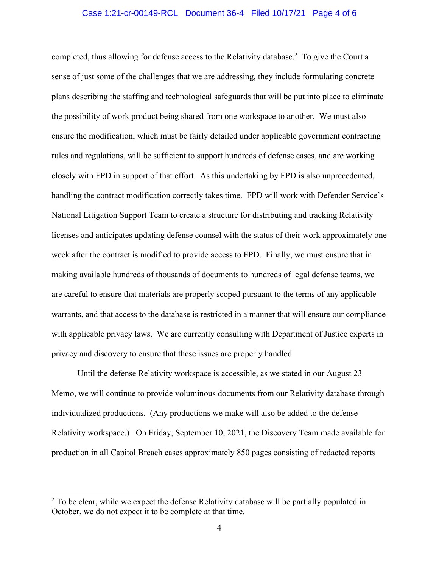### Case 1:21-cr-00149-RCL Document 36-4 Filed 10/17/21 Page 4 of 6

completed, thus allowing for defense access to the Relativity database.<sup>2</sup> To give the Court a sense of just some of the challenges that we are addressing, they include formulating concrete plans describing the staffing and technological safeguards that will be put into place to eliminate the possibility of work product being shared from one workspace to another. We must also ensure the modification, which must be fairly detailed under applicable government contracting rules and regulations, will be sufficient to support hundreds of defense cases, and are working closely with FPD in support of that effort. As this undertaking by FPD is also unprecedented, handling the contract modification correctly takes time. FPD will work with Defender Service's National Litigation Support Team to create a structure for distributing and tracking Relativity licenses and anticipates updating defense counsel with the status of their work approximately one week after the contract is modified to provide access to FPD. Finally, we must ensure that in making available hundreds of thousands of documents to hundreds of legal defense teams, we are careful to ensure that materials are properly scoped pursuant to the terms of any applicable warrants, and that access to the database is restricted in a manner that will ensure our compliance with applicable privacy laws. We are currently consulting with Department of Justice experts in privacy and discovery to ensure that these issues are properly handled.

Until the defense Relativity workspace is accessible, as we stated in our August 23 Memo, we will continue to provide voluminous documents from our Relativity database through individualized productions. (Any productions we make will also be added to the defense Relativity workspace.) On Friday, September 10, 2021, the Discovery Team made available for production in all Capitol Breach cases approximately 850 pages consisting of redacted reports

 $2$  To be clear, while we expect the defense Relativity database will be partially populated in October, we do not expect it to be complete at that time.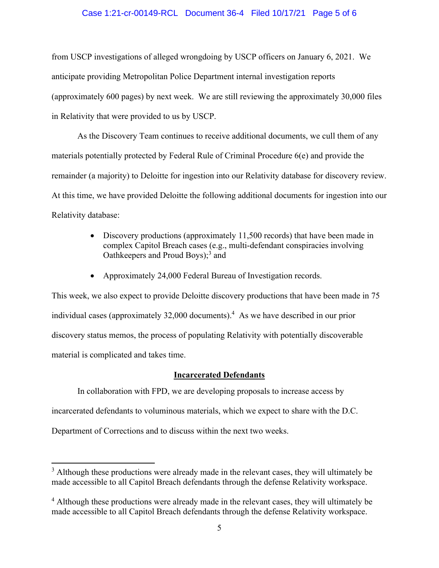### Case 1:21-cr-00149-RCL Document 36-4 Filed 10/17/21 Page 5 of 6

from USCP investigations of alleged wrongdoing by USCP officers on January 6, 2021. We anticipate providing Metropolitan Police Department internal investigation reports (approximately 600 pages) by next week. We are still reviewing the approximately 30,000 files in Relativity that were provided to us by USCP.

As the Discovery Team continues to receive additional documents, we cull them of any materials potentially protected by Federal Rule of Criminal Procedure 6(e) and provide the remainder (a majority) to Deloitte for ingestion into our Relativity database for discovery review. At this time, we have provided Deloitte the following additional documents for ingestion into our Relativity database:

- Discovery productions (approximately 11,500 records) that have been made in complex Capitol Breach cases (e.g., multi-defendant conspiracies involving Oathkeepers and Proud Boys);<sup>3</sup> and
- Approximately 24,000 Federal Bureau of Investigation records.

This week, we also expect to provide Deloitte discovery productions that have been made in 75 individual cases (approximately 32,000 documents).<sup>4</sup> As we have described in our prior discovery status memos, the process of populating Relativity with potentially discoverable material is complicated and takes time.

### **Incarcerated Defendants**

In collaboration with FPD, we are developing proposals to increase access by

incarcerated defendants to voluminous materials, which we expect to share with the D.C.

Department of Corrections and to discuss within the next two weeks.

 $3$  Although these productions were already made in the relevant cases, they will ultimately be made accessible to all Capitol Breach defendants through the defense Relativity workspace.

<sup>&</sup>lt;sup>4</sup> Although these productions were already made in the relevant cases, they will ultimately be made accessible to all Capitol Breach defendants through the defense Relativity workspace.